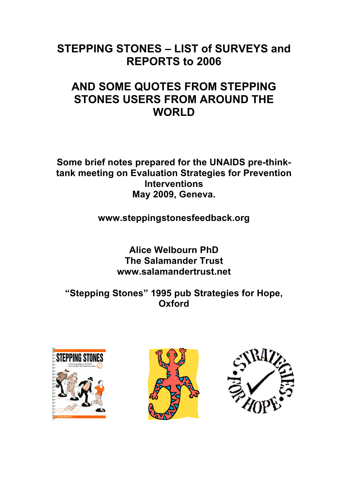## **STEPPING STONES – LIST of SURVEYS and REPORTS to 2006**

# **AND SOME QUOTES FROM STEPPING STONES USERS FROM AROUND THE WORLD**

**Some brief notes prepared for the UNAIDS pre-thinktank meeting on Evaluation Strategies for Prevention Interventions May 2009, Geneva.**

**www.steppingstonesfeedback.org**

**Alice Welbourn PhD The Salamander Trust www.salamandertrust.net**

**"Stepping Stones" 1995 pub Strategies for Hope, Oxford**





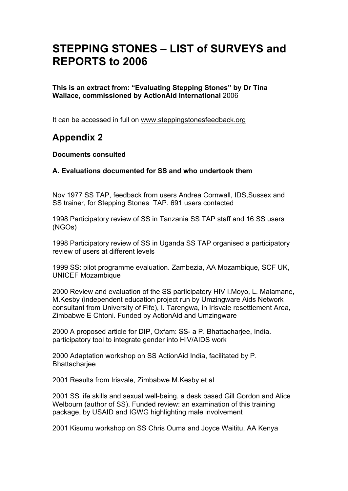# **STEPPING STONES – LIST of SURVEYS and REPORTS to 2006**

**This is an extract from: "Evaluating Stepping Stones" by Dr Tina Wallace, commissioned by ActionAid International** 2006

It can be accessed in full on www.steppingstonesfeedback.org

### **Appendix 2**

#### **Documents consulted**

#### **A. Evaluations documented for SS and who undertook them**

Nov 1977 SS TAP, feedback from users Andrea Cornwall, IDS,Sussex and SS trainer, for Stepping Stones TAP. 691 users contacted

1998 Participatory review of SS in Tanzania SS TAP staff and 16 SS users (NGOs)

1998 Participatory review of SS in Uganda SS TAP organised a participatory review of users at different levels

1999 SS: pilot programme evaluation. Zambezia, AA Mozambique, SCF UK, UNICEF Mozambique

2000 Review and evaluation of the SS participatory HIV I.Moyo, L. Malamane, M.Kesby (independent education project run by Umzingware Aids Network consultant from University of Fife), I. Tarengwa, in Irisvale resettlement Area, Zimbabwe E Chtoni. Funded by ActionAid and Umzingware

2000 A proposed article for DIP, Oxfam: SS- a P. Bhattacharjee, India. participatory tool to integrate gender into HIV/AIDS work

2000 Adaptation workshop on SS ActionAid India, facilitated by P. **Bhattacharjee** 

2001 Results from Irisvale, Zimbabwe M.Kesby et al

2001 SS life skills and sexual well-being, a desk based Gill Gordon and Alice Welbourn (author of SS). Funded review: an examination of this training package, by USAID and IGWG highlighting male involvement

2001 Kisumu workshop on SS Chris Ouma and Joyce Waititu, AA Kenya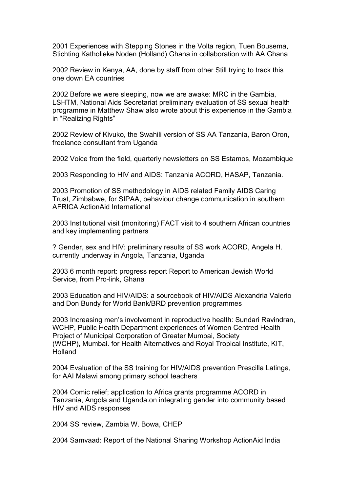2001 Experiences with Stepping Stones in the Volta region, Tuen Bousema, Stichting Katholieke Noden (Holland) Ghana in collaboration with AA Ghana

2002 Review in Kenya, AA, done by staff from other Still trying to track this one down EA countries

2002 Before we were sleeping, now we are awake: MRC in the Gambia, LSHTM, National Aids Secretariat preliminary evaluation of SS sexual health programme in Matthew Shaw also wrote about this experience in the Gambia in "Realizing Rights"

2002 Review of Kivuko, the Swahili version of SS AA Tanzania, Baron Oron, freelance consultant from Uganda

2002 Voice from the field, quarterly newsletters on SS Estamos, Mozambique

2003 Responding to HIV and AIDS: Tanzania ACORD, HASAP, Tanzania.

2003 Promotion of SS methodology in AIDS related Family AIDS Caring Trust, Zimbabwe, for SIPAA, behaviour change communication in southern AFRICA ActionAid International

2003 Institutional visit (monitoring) FACT visit to 4 southern African countries and key implementing partners

? Gender, sex and HIV: preliminary results of SS work ACORD, Angela H. currently underway in Angola, Tanzania, Uganda

2003 6 month report: progress report Report to American Jewish World Service, from Pro-link, Ghana

2003 Education and HIV/AIDS: a sourcebook of HIV/AIDS Alexandria Valerio and Don Bundy for World Bank/BRD prevention programmes

2003 Increasing men's involvement in reproductive health: Sundari Ravindran, WCHP, Public Health Department experiences of Women Centred Health Project of Municipal Corporation of Greater Mumbai, Society (WCHP), Mumbai. for Health Alternatives and Royal Tropical Institute, KIT, Holland

2004 Evaluation of the SS training for HIV/AIDS prevention Prescilla Latinga, for AAI Malawi among primary school teachers

2004 Comic relief; application to Africa grants programme ACORD in Tanzania, Angola and Uganda.on integrating gender into community based HIV and AIDS responses

2004 SS review, Zambia W. Bowa, CHEP

2004 Samvaad: Report of the National Sharing Workshop ActionAid India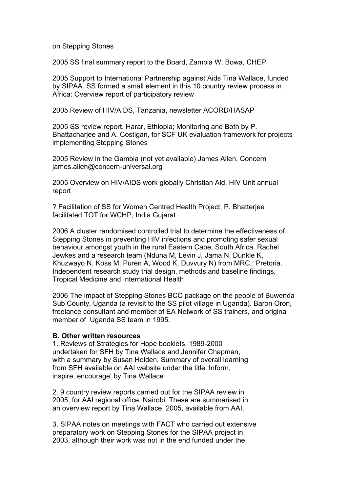on Stepping Stones

2005 SS final summary report to the Board, Zambia W. Bowa, CHEP

2005 Support to International Partnership against Aids Tina Wallace, funded by SIPAA. SS formed a small element in this 10 country review process in Africa: Overview report of participatory review

2005 Review of HIV/AIDS, Tanzania, newsletter ACORD/HASAP

2005 SS review report, Harar, Ethiopia; Monitoring and Both by P. Bhattacharjee and A. Costigan, for SCF UK evaluation framework for projects implementing Stepping Stones

2005 Review in the Gambia (not yet available) James Allen, Concern james.allen@concern-universal.org

2005 Overview on HIV/AIDS work globally Christian Aid, HIV Unit annual report

? Facilitation of SS for Women Centred Health Project, P. Bhatterjee facilitated TOT for WCHP, India Gujarat

2006 A cluster randomised controlled trial to determine the effectiveness of Stepping Stones in preventing HIV infections and promoting safer sexual behaviour amongst youth in the rural Eastern Cape, South Africa. Rachel Jewkes and a research team (Nduna M, Levin J, Jama N, Dunkle K, Khuzwayo N, Koss M, Puren A, Wood K, Duvvury N) from MRC,: Pretoria. Independent research study trial design, methods and baseline findings, Tropical Medicine and International Health

2006 The impact of Stepping Stones BCC package on the people of Buwenda Sub County, Uganda (a revisit to the SS pilot village in Uganda). Baron Oron, freelance consultant and member of EA Network of SS trainers, and original member of Uganda SS team in 1995.

#### **B. Other written resources**

1. Reviews of Strategies for Hope booklets, 1989-2000 undertaken for SFH by Tina Wallace and Jennifer Chapman, with a summary by Susan Holden. Summary of overall learning from SFH available on AAI website under the title 'Inform, inspire, encourage' by Tina Wallace

2. 9 country review reports carried out for the SIPAA review in 2005, for AAI regional office, Nairobi. These are summarised in an overview report by Tina Wallace, 2005, available from AAI.

3. SIPAA notes on meetings with FACT who carried out extensive preparatory work on Stepping Stones for the SIPAA project in 2003, although their work was not in the end funded under the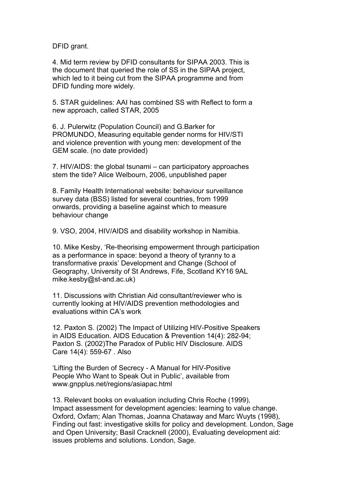DFID grant.

4. Mid term review by DFID consultants for SIPAA 2003. This is the document that queried the role of SS in the SIPAA project, which led to it being cut from the SIPAA programme and from DFID funding more widely.

5. STAR guidelines: AAI has combined SS with Reflect to form a new approach, called STAR, 2005

6. J. Pulerwitz (Population Council) and G.Barker for PROMUNDO, Measuring equitable gender norms for HIV/STI and violence prevention with young men: development of the GEM scale. (no date provided)

7. HIV/AIDS: the global tsunami – can participatory approaches stem the tide? Alice Welbourn, 2006, unpublished paper

8. Family Health International website: behaviour surveillance survey data (BSS) listed for several countries, from 1999 onwards, providing a baseline against which to measure behaviour change

9. VSO, 2004, HIV/AIDS and disability workshop in Namibia.

10. Mike Kesby, 'Re-theorising empowerment through participation as a performance in space: beyond a theory of tyranny to a transformative praxis' Development and Change (School of Geography, University of St Andrews, Fife, Scotland KY16 9AL mike.kesby@st-and.ac.uk)

11. Discussions with Christian Aid consultant/reviewer who is currently looking at HIV/AIDS prevention methodologies and evaluations within CA's work

12. Paxton S. (2002) The Impact of Utilizing HIV-Positive Speakers in AIDS Education. AIDS Education & Prevention 14(4): 282-94; Paxton S. (2002)The Paradox of Public HIV Disclosure. AIDS Care 14(4): 559-67 . Also

'Lifting the Burden of Secrecy - A Manual for HIV-Positive People Who Want to Speak Out in Public', available from www.gnpplus.net/regions/asiapac.html

13. Relevant books on evaluation including Chris Roche (1999), Impact assessment for development agencies: learning to value change. Oxford, Oxfam; Alan Thomas, Joanna Chataway and Marc Wuyts (1998), Finding out fast: investigative skills for policy and development. London, Sage and Open University; Basil Cracknell (2000), Evaluating development aid: issues problems and solutions. London, Sage.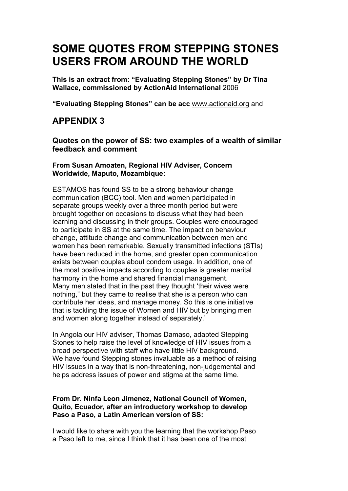# **SOME QUOTES FROM STEPPING STONES USERS FROM AROUND THE WORLD**

**This is an extract from: "Evaluating Stepping Stones" by Dr Tina Wallace, commissioned by ActionAid International** 2006

**"Evaluating Stepping Stones" can be acc** www.actionaid.org and

### **APPENDIX 3**

**Quotes on the power of SS: two examples of a wealth of similar feedback and comment**

#### **From Susan Amoaten, Regional HIV Adviser, Concern Worldwide, Maputo, Mozambique:**

ESTAMOS has found SS to be a strong behaviour change communication (BCC) tool. Men and women participated in separate groups weekly over a three month period but were brought together on occasions to discuss what they had been learning and discussing in their groups. Couples were encouraged to participate in SS at the same time. The impact on behaviour change, attitude change and communication between men and women has been remarkable. Sexually transmitted infections (STIs) have been reduced in the home, and greater open communication exists between couples about condom usage. In addition, one of the most positive impacts according to couples is greater marital harmony in the home and shared financial management. Many men stated that in the past they thought 'their wives were nothing," but they came to realise that she is a person who can contribute her ideas, and manage money. So this is one initiative that is tackling the issue of Women and HIV but by bringing men and women along together instead of separately.'

In Angola our HIV adviser, Thomas Damaso, adapted Stepping Stones to help raise the level of knowledge of HIV issues from a broad perspective with staff who have little HIV background. We have found Stepping stones invaluable as a method of raising HIV issues in a way that is non-threatening, non-judgemental and helps address issues of power and stigma at the same time.

#### **From Dr. Ninfa Leon Jimenez, National Council of Women, Quito, Ecuador, after an introductory workshop to develop Paso a Paso, a Latin American version of SS:**

I would like to share with you the learning that the workshop Paso a Paso left to me, since I think that it has been one of the most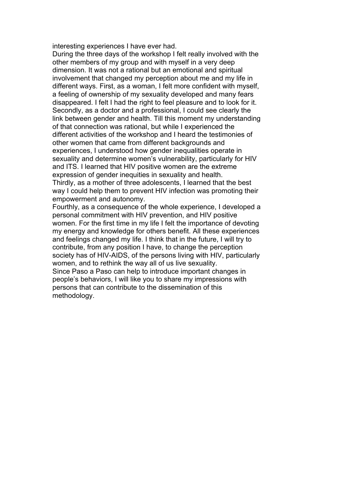interesting experiences I have ever had.

During the three days of the workshop I felt really involved with the other members of my group and with myself in a very deep dimension. It was not a rational but an emotional and spiritual involvement that changed my perception about me and my life in different ways. First, as a woman, I felt more confident with myself, a feeling of ownership of my sexuality developed and many fears disappeared. I felt I had the right to feel pleasure and to look for it. Secondly, as a doctor and a professional, I could see clearly the link between gender and health. Till this moment my understanding of that connection was rational, but while I experienced the different activities of the workshop and I heard the testimonies of other women that came from different backgrounds and experiences, I understood how gender inequalities operate in sexuality and determine women's vulnerability, particularly for HIV and ITS. I learned that HIV positive women are the extreme expression of gender inequities in sexuality and health. Thirdly, as a mother of three adolescents, I learned that the best way I could help them to prevent HIV infection was promoting their empowerment and autonomy.

Fourthly, as a consequence of the whole experience, I developed a personal commitment with HIV prevention, and HIV positive women. For the first time in my life I felt the importance of devoting my energy and knowledge for others benefit. All these experiences and feelings changed my life. I think that in the future, I will try to contribute, from any position I have, to change the perception society has of HIV-AIDS, of the persons living with HIV, particularly women, and to rethink the way all of us live sexuality. Since Paso a Paso can help to introduce important changes in people's behaviors, I will like you to share my impressions with persons that can contribute to the dissemination of this methodology.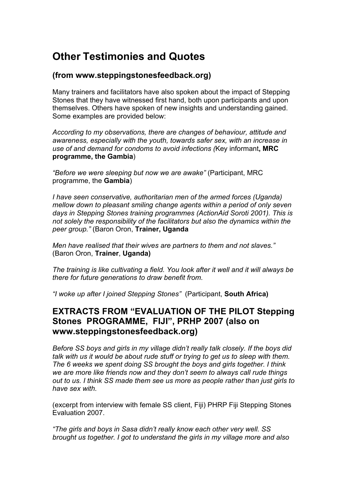### **Other Testimonies and Quotes**

### **(from www.steppingstonesfeedback.org)**

Many trainers and facilitators have also spoken about the impact of Stepping Stones that they have witnessed first hand, both upon participants and upon themselves. Others have spoken of new insights and understanding gained. Some examples are provided below:

*According to my observations, there are changes of behaviour, attitude and awareness, especially with the youth, towards safer sex, with an increase in use of and demand for condoms to avoid infections (*Key informant**, MRC programme, the Gambia**)

*"Before we were sleeping but now we are awake"* (Participant, MRC programme, the **Gambia**)

*I have seen conservative, authoritarian men of the armed forces (Uganda) mellow down to pleasant smiling change agents within a period of only seven days in Stepping Stones training programmes (ActionAid Soroti 2001). This is not solely the responsibility of the facilitators but also the dynamics within the peer group."* (Baron Oron, **Trainer, Uganda**

*Men have realised that their wives are partners to them and not slaves."* (Baron Oron, **Trainer**, **Uganda)**

*The training is like cultivating a field. You look after it well and it will always be there for future generations to draw benefit from.*

*"I woke up after I joined Stepping Stones"* (Participant, **South Africa)**

### **EXTRACTS FROM "EVALUATION OF THE PILOT Stepping Stones PROGRAMME, FIJI", PRHP 2007 (also on www.steppingstonesfeedback.org)**

*Before SS boys and girls in my village didn't really talk closely. If the boys did talk with us it would be about rude stuff or trying to get us to sleep with them. The 6 weeks we spent doing SS brought the boys and girls together. I think we are more like friends now and they don't seem to always call rude things out to us. I think SS made them see us more as people rather than just girls to have sex with.*

(excerpt from interview with female SS client, Fiji) PHRP Fiji Stepping Stones Evaluation 2007.

*"The girls and boys in Sasa didn't really know each other very well. SS brought us together. I got to understand the girls in my village more and also*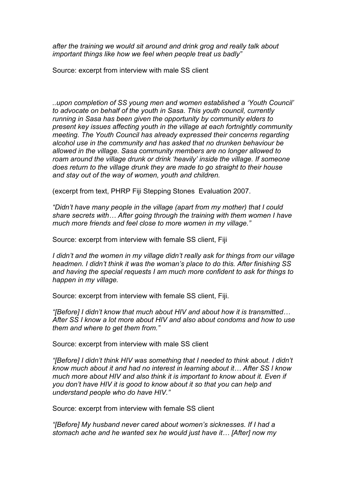*after the training we would sit around and drink grog and really talk about important things like how we feel when people treat us badly"*

Source: excerpt from interview with male SS client

*..upon completion of SS young men and women established a 'Youth Council' to advocate on behalf of the youth in Sasa. This youth council, currently running in Sasa has been given the opportunity by community elders to present key issues affecting youth in the village at each fortnightly community meeting. The Youth Council has already expressed their concerns regarding alcohol use in the community and has asked that no drunken behaviour be allowed in the village. Sasa community members are no longer allowed to roam around the village drunk or drink 'heavily' inside the village. If someone does return to the village drunk they are made to go straight to their house and stay out of the way of women, youth and children.*

(excerpt from text, PHRP Fiji Stepping Stones Evaluation 2007.

*"Didn't have many people in the village (apart from my mother) that I could share secrets with… After going through the training with them women I have much more friends and feel close to more women in my village."*

Source: excerpt from interview with female SS client, Fiji

*I didn't and the women in my village didn't really ask for things from our village headmen. I didn't think it was the woman's place to do this. After finishing SS and having the special requests I am much more confident to ask for things to happen in my village.*

Source: excerpt from interview with female SS client, Fiji.

*"[Before] I didn't know that much about HIV and about how it is transmitted… After SS I know a lot more about HIV and also about condoms and how to use them and where to get them from."*

Source: excerpt from interview with male SS client

*"[Before] I didn't think HIV was something that I needed to think about. I didn't know much about it and had no interest in learning about it… After SS I know much more about HIV and also think it is important to know about it. Even if you don't have HIV it is good to know about it so that you can help and understand people who do have HIV."*

Source: excerpt from interview with female SS client

*"[Before] My husband never cared about women's sicknesses. If I had a stomach ache and he wanted sex he would just have it… [After] now my*